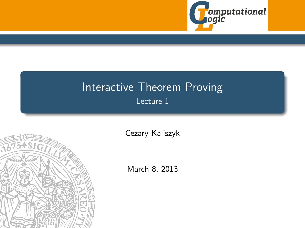

# Interactive Theorem Proving Lecture 1

<span id="page-0-0"></span>

[Cezary Kaliszyk](http://cl-informatik.uibk.ac.at/~cek)

March 8, 2013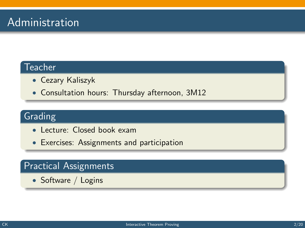#### **Teacher**

- Cezary Kaliszyk
- Consultation hours: Thursday afternoon, 3M12

### Grading

- Lecture: Closed book exam
- Exercises: Assignments and participation

### Practical Assignments

• Software / Logins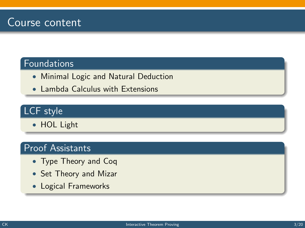#### Foundations

- Minimal Logic and Natural Deduction
- Lambda Calculus with Extensions

### LCF style

• HOL Light

#### Proof Assistants

- Type Theory and Coq
- Set Theory and Mizar
- Logical Frameworks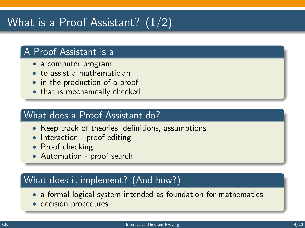# What is a Proof Assistant?  $(1/2)$

#### A Proof Assistant is a

- a computer program
- to assist a mathematician
- in the production of a proof
- that is mechanically checked

#### What does a Proof Assistant do?

- Keep track of theories, definitions, assumptions
- Interaction proof editing
- Proof checking
- Automation proof search

#### What does it implement? (And how?)

- a formal logical system intended as foundation for mathematics
- decision procedures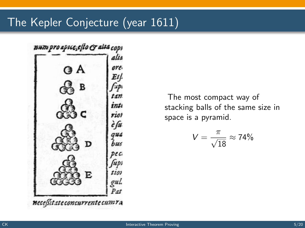Bum pro apice, efto & alsa copi alis ore. ΘA Et B tan inti riot qua מ bus DCC u b t107 E guL Pat necessitate concurrente cumra

The most compact way of stacking balls of the same size in space is a pyramid.

$$
V=\frac{\pi}{\sqrt{18}}\approx 74\%
$$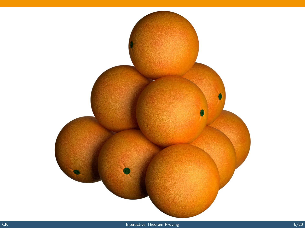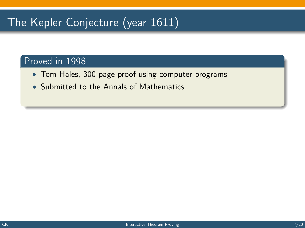# The Kepler Conjecture (year 1611)

### Proved in 1998

- Tom Hales, 300 page proof using computer programs
- Submitted to the Annals of Mathematics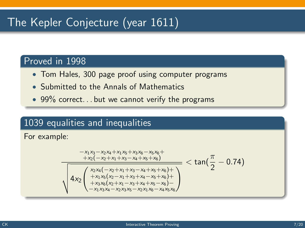# The Kepler Conjecture (year 1611)

#### Proved in 1998

- Tom Hales, 300 page proof using computer programs
- Submitted to the Annals of Mathematics
- 99% correct... but we cannot verify the programs

#### 1039 equalities and inequalities

For example:

$$
\frac{\frac{-x_1x_3-x_2x_4+x_1x_5+x_3x_6-x_5x_6+\ \ \, }{+x_2(-x_2+x_1+x_3-x_4+x_5+x_6)}}{4x_2\sqrt{\frac{x_2x_4(-x_2+x_1+x_3-x_4+x_5+x_6)+}{+x_3x_6(x_2-x_1+x_3+x_4-x_5+x_6)}}} < \tan(\frac{\pi}{2}-0.74)
$$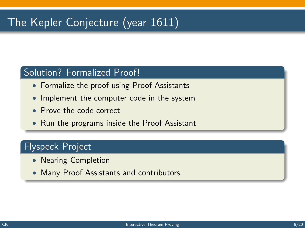# The Kepler Conjecture (year 1611)

#### Solution? Formalized Proof!

- Formalize the proof using Proof Assistants
- Implement the computer code in the system
- Prove the code correct
- Run the programs inside the Proof Assistant

#### Flyspeck Project

- Nearing Completion
- Many Proof Assistants and contributors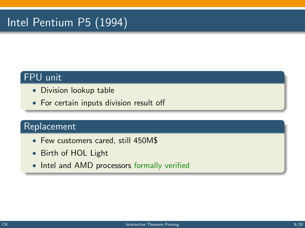# Intel Pentium P5 (1994)

#### FPU unit

- Division lookup table
- For certain inputs division result off

### Replacement

- Few customers cared, still 450M\$
- Birth of HOL Light
- Intel and AMD processors formally verified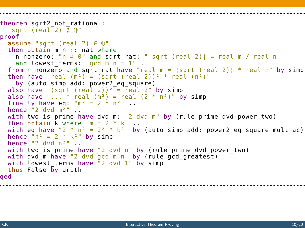```
theorem sart2 not rational:
"sart (real 2) \overline{\mathfrak{C}} 0"
proof
 assume "sart (real 2) \in \mathbb{O}^nthen obtain m n :: nat where
    n nonzero: "n \neq 0" and sqrt rat: "|sqrt (real 2)| = real m / real n"
    and lowest terms: "gcd m n = 1".
 from n nonzero and sqrt rat have "real m = \sqrt{q} | treal 2) \frac{1}{2} * real n" by simp
 then have "real (m<sup>2</sup>) = \sqrt{2} sqrt (real 2))<sup>2</sup> * real (n<sup>2</sup>)"
    by (auto simp add: power2 eq square)
 also have "(sqrt (real 2))<sup>2</sup> = real 2" by simp
 also have "... * real (m^2) = real (2 * n^2)" by simp
 finally have eq: ^{\circ} m<sup>2</sup> = 2 ^{\circ} n<sup>2</sup> ...
 hence \frac{1}{2} dvd m^2"
 with two is prime have dvd m: "2 dvd m" by (rule prime dvd power two)
 then obtain \overline{k} where "m = 2^{-*} k"
 with eq have "2 * n^2 = 2^2 * k^2" by (auto simp add: power2 eq square mult ac)
 hence "n^2 = 2 * k^2" by simp
 hence "2 dvd n^2" ..
 with two is prime have "2 dvd n" by (rule prime dvd power two)
 with d\overline{d} m have "2 d\overline{d} and d\overline{m} m" by (rule gcd greatest)
 with lowest terms have \overline{P} 2 dvd 1" by simp
 thus False \overline{b}v arith
ded
```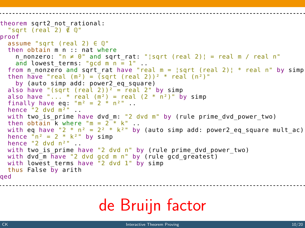```
theorem sart2 not rational:
 "sart (real 2) \overline{\mathfrak{C}} 0"
proof
 assume "sart (real 2) \in \mathbb{O}^nthen obtain m n \cdot at where
    n nonzero: "n \neq 0" and sqrt rat: "|sqrt (real 2)| = real m / real n"
    and lowest terms: "gcd m n = 1".
 from n nonzero and sqrt rat have "real m = \sqrt{q} | treal 2) \frac{1}{2} * real n" by simp
 then have "real (m<sup>2</sup>) = \sqrt{2} sqrt (real 2))<sup>2</sup> * real (n<sup>2</sup>)"
    by (auto simp add: power2 eq square)
 also have "(sqrt (real 2))<sup>2</sup> = real 2" by simp
 also have "... * real (m^2) = real (2 * n^2)" by simp
 finally have eq: ^{\circ} m<sup>2</sup> = 2 ^{\circ} n<sup>2</sup> ...
 hence \frac{1}{2} dvd m^2".
 with two is prime have dvd_m: "2 dvd m" by (rule prime_dvd_power_two)
 then obtain \overline{k} where "m = 2^{-*} k"
 with eq have "2 * n^2 = 2^2 * k^2" by (auto simp add: power2 eq square mult ac)
 hence "n^2 = 2 * k^2" by simp
 hence "2 dvd n^2".
 with two is prime have "2 dvd n" by (rule prime dvd power two)
 with dvd m have "2 dvd gcd m n" by (rule gcd greatest)
 with lowest_terms have "2 dvd 1" by simp
 thus False \overline{b}v arith
ded
```
# de Bruijn factor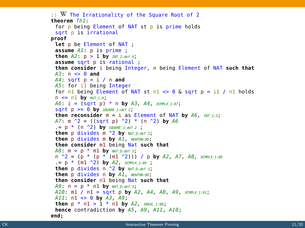```
\therefore W The Irrationality of the Square Root of 2
theorem Th<sub>1</sub>:
 for p being Element of NAT st p is prime holds
 sqrt p is irrational
proof
 Let p be Element of NAT ;
 \overline{A} D \overline{A} D \overline{B} D \overline{B} D \overline{C} D \overline{D} D \overline{D} D \overline{D} D \overline{D} D \overline{D} D \overline{D} D \overline{D} D \overline{D} D \overline{D} D \overline{D} D \overline{D} D \overline{D} D 
 then A2: p > 1 by INT 2: def 4;
 assume sqrt p is rational;
 then consider i being Integer, n being Element of NAT such that
 A3: n \leq 0 and
 A4: sqrt p = i / n and
 A5: for il being Integer
 for nl being Element of NAT st nl \approx 0 & sart p = il / nl holds
 n \leq n1 by RAT_1.9;
 A6: i = (sqrt p) * n by A3, A4, xompLx 1:87;\text{sort } D \geq 0 by SOUARE 1:def 2:
 then reconsider m = i as Element of NAT by A6. mr \rightarrow 3;
 A7: m^2 = ((sqrt p)^2) * (n^2) by A6= p * (n \rightharpoonup 2) by square 1:def 2;
 then p divides m \sim 2 by NAT D:def 3;
 then p divides m bv Al. NEWTON:80:
 then consider ml being Nat such that
 A8: m = p * m1 by NAT D: def 3:
 n \hat{P} = (p * (p * (m1 \hat{P}))) / p by A2, A7, A8, xaypux 1:89
  p * (m1 \t2) by A2, xcMPLX 1:89 ;
 then p divides n \uparrow 2 by NAT D:def 3:
 then p divides n by A1, NEWTON:80;
 then consider nl being Nat such that
 A9: n = p * n1 by NAT D:def 3;
 A10: ml / nl = sqrt p by A2, A4, A8, A9, XCMPLX 1:91;
 A11: n1 \iff 0 by A3, A9;then p * n1 > 1 * n1 by A2, x_{REAL 1:98};
 hence contradiction by A5, A9, A11, A10:
end:
```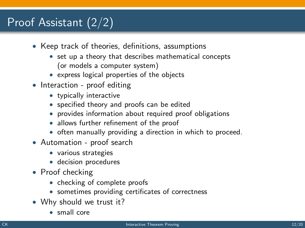# Proof Assistant (2/2)

- Keep track of theories, definitions, assumptions
	- set up a theory that describes mathematical concepts (or models a computer system)
	- express logical properties of the objects
- Interaction proof editing
	- typically interactive
	- specified theory and proofs can be edited
	- provides information about required proof obligations
	- allows further refinement of the proof
	- often manually providing a direction in which to proceed.
- Automation proof search
	- various strategies
	- decision procedures
- Proof checking
	- checking of complete proofs
	- sometimes providing certificates of correctness
- Why should we trust it?
	- small core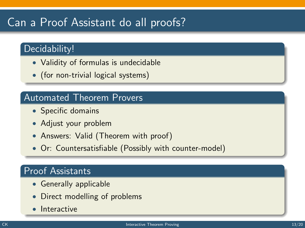# Can a Proof Assistant do all proofs?

### Decidability!

- Validity of formulas is undecidable
- (for non-trivial logical systems)

#### Automated Theorem Provers

- Specific domains
- Adjust your problem
- Answers: Valid (Theorem with proof)
- Or: Countersatisfiable (Possibly with counter-model)

#### Proof Assistants

- Generally applicable
- Direct modelling of problems
- Interactive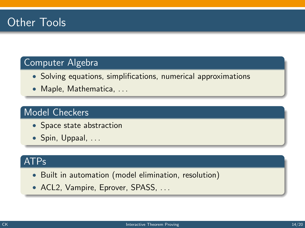#### Computer Algebra

- Solving equations, simplifications, numerical approximations
- Maple, Mathematica, . . .

### Model Checkers

- Space state abstraction
- Spin, Uppaal, . . .

#### ATPs

- Built in automation (model elimination, resolution)
- ACL2, Vampire, Eprover, SPASS, ...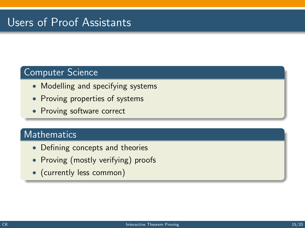### Users of Proof Assistants

#### Computer Science

- Modelling and specifying systems
- Proving properties of systems
- Proving software correct

#### **Mathematics**

- Defining concepts and theories
- Proving (mostly verifying) proofs
- (currently less common)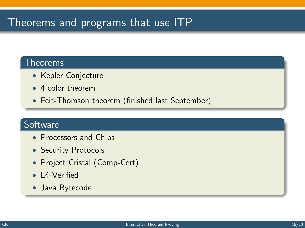### Theorems and programs that use ITP

#### Theorems

- Kepler Conjecture
- 4 color theorem
- Feit-Thomson theorem (finished last September)

#### **Software**

- Processors and Chips
- Security Protocols
- Project Cristal (Comp-Cert)
- L4-Verified
- Java Bytecode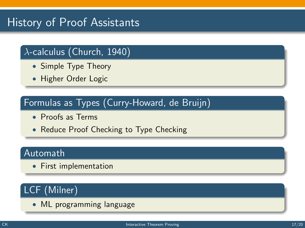# History of Proof Assistants

### $\lambda$ -calculus (Church, 1940)

- Simple Type Theory
- Higher Order Logic

### Formulas as Types (Curry-Howard, de Bruijn)

- Proofs as Terms
- Reduce Proof Checking to Type Checking

#### Automath

• First implementation

## LCF (Milner)

• ML programming language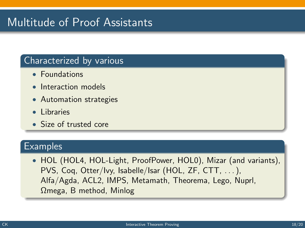## Multitude of Proof Assistants

#### Characterized by various

- Foundations
- Interaction models
- Automation strategies
- Libraries
- Size of trusted core

#### **Examples**

• HOL (HOL4, HOL-Light, ProofPower, HOL0), Mizar (and variants), PVS, Coq, Otter/Ivy, Isabelle/Isar (HOL, ZF, CTT, . . . ), Alfa/Agda, ACL2, IMPS, Metamath, Theorema, Lego, Nuprl, Ωmega, B method, Minlog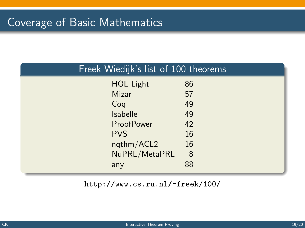| Freek Wiedijk's list of 100 theorems |    |
|--------------------------------------|----|
| <b>HOL Light</b>                     | 86 |
| Mizar                                | 57 |
| Coq                                  | 49 |
| Isabelle                             | 49 |
| ProofPower                           | 42 |
| <b>PVS</b>                           | 16 |
| nqthm/ACL2                           | 16 |
| NuPRL/MetaPRL                        | 8  |
| any                                  | 88 |

<http://www.cs.ru.nl/~freek/100/>